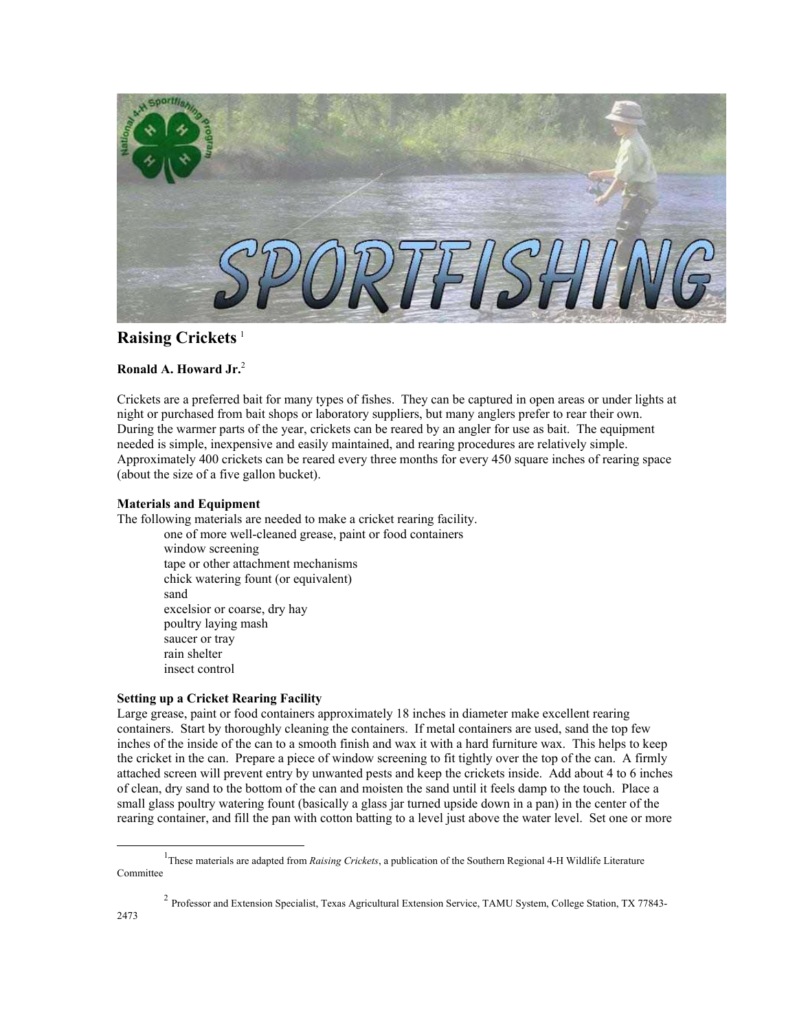

# **Raising Crickets** [1](#page-0-0)

## **Ronald A. Howard Jr.** [2](#page-0-1)

Crickets are a preferred bait for many types of fishes. They can be captured in open areas or under lights at night or purchased from bait shops or laboratory suppliers, but many anglers prefer to rear their own. During the warmer parts of the year, crickets can be reared by an angler for use as bait. The equipment needed is simple, inexpensive and easily maintained, and rearing procedures are relatively simple. Approximately 400 crickets can be reared every three months for every 450 square inches of rearing space (about the size of a five gallon bucket).

### **Materials and Equipment**

The following materials are needed to make a cricket rearing facility.

one of more well-cleaned grease, paint or food containers window screening tape or other attachment mechanisms chick watering fount (or equivalent) sand excelsior or coarse, dry hay poultry laying mash saucer or tray rain shelter insect control

### **Setting up a Cricket Rearing Facility**

Large grease, paint or food containers approximately 18 inches in diameter make excellent rearing containers. Start by thoroughly cleaning the containers. If metal containers are used, sand the top few inches of the inside of the can to a smooth finish and wax it with a hard furniture wax. This helps to keep the cricket in the can. Prepare a piece of window screening to fit tightly over the top of the can. A firmly attached screen will prevent entry by unwanted pests and keep the crickets inside. Add about 4 to 6 inches of clean, dry sand to the bottom of the can and moisten the sand until it feels damp to the touch. Place a small glass poultry watering fount (basically a glass jar turned upside down in a pan) in the center of the rearing container, and fill the pan with cotton batting to a level just above the water level. Set one or more

<span id="page-0-1"></span><sup>2</sup> Professor and Extension Specialist, Texas Agricultural Extension Service, TAMU System, College Station, TX 77843- 2473

<span id="page-0-0"></span><sup>&</sup>lt;u>1</u> <sup>1</sup>These materials are adapted from *Raising Crickets*, a publication of the Southern Regional 4-H Wildlife Literature Committee